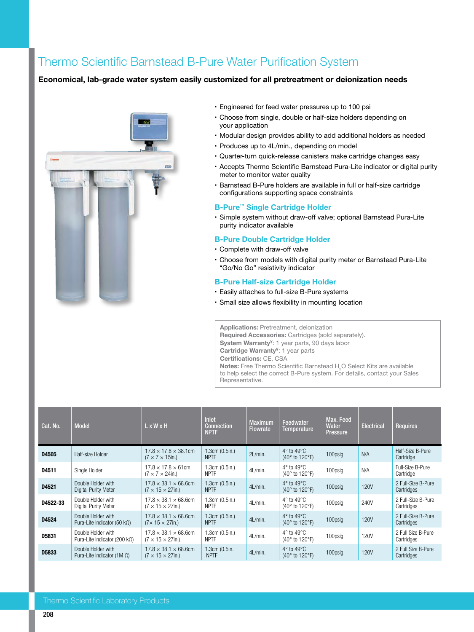## Thermo Scientific Barnstead B-Pure Water Purification System

#### Economical, lab-grade water system easily customized for all pretreatment or deionization needs



- � Engineered for feed water pressures up to 100 psi
- � Choose from single, double or half-size holders depending on your application
- � Modular design provides ability to add additional holders as needed
- � Produces up to 4L/min., depending on model
- � Quarter-turn quick-release canisters make cartridge changes easy
- � Accepts Thermo Scientific Barnstead Pura-Lite indicator or digital purity meter to monitor water quality
- � Barnstead B-Pure holders are available in full or half-size cartridge configurations supporting space constraints

#### B-Pure™ Single Cartridge Holder

� Simple system without draw-off valve; optional Barnstead Pura-Lite purity indicator available

#### B-Pure Double Cartridge Holder

- � Complete with draw-off valve
- � Choose from models with digital purity meter or Barnstead Pura-Lite "Go/No Go" resistivity indicator

#### B-Pure Half-size Cartridge Holder

- � Easily attaches to full-size B-Pure systems
- � Small size allows flexibility in mounting location

Applications: Pretreatment, deionization Required Accessories: Cartridges (sold separately). System Warranty<sup>¥</sup>: 1 year parts, 90 days labor Cartridge Warranty<sup>¥</sup>: 1 year parts Certifications: CE, CSA Notes: Free Thermo Scientific Barnstead H<sub>2</sub>O Select Kits are available to help select the correct B-Pure system. For details, contact your Sales Representative.

| Cat. No. | <b>Model</b>                                                | $L \times W \times H$                                               | <b>Inlet</b><br><b>Connection</b><br><b>NPTF</b> | <b>Maximum</b><br><b>Flowrate</b> | Feedwater<br>Temperature                                        | Max. Feed<br>Water<br><b>Pressure</b> | <b>Electrical</b> | <b>Requires</b>                  |
|----------|-------------------------------------------------------------|---------------------------------------------------------------------|--------------------------------------------------|-----------------------------------|-----------------------------------------------------------------|---------------------------------------|-------------------|----------------------------------|
| D4505    | Half-size Holder                                            | $17.8 \times 17.8 \times 38.1$ cm<br>$(7 \times 7 \times 15)$ in.)  | 1.3cm (0.5in.)<br><b>NPTF</b>                    | 2L/min.                           | $4^\circ$ to $49^\circ$ C<br>$(40^{\circ}$ to 120 $^{\circ}$ F) | 100psig                               | N/A               | Half-Size B-Pure<br>Cartridge    |
| D4511    | Single Holder                                               | $17.8 \times 17.8 \times 61$ cm<br>$(7 \times 7 \times 24)$ in.)    | 1.3cm (0.5in.)<br><b>NPTF</b>                    | 4L/min.                           | $4^\circ$ to $49^\circ$ C<br>(40° to 120°F)                     | 100psig                               | N/A               | Full-Size B-Pure<br>Cartridge    |
| D4521    | Double Holder with<br>Digital Purity Meter                  | $17.8 \times 38.1 \times 68.6$ cm<br>$(7 \times 15 \times 27)$ in.) | 1.3cm (0.5in.)<br><b>NPTF</b>                    | 4L/min.                           | $4^\circ$ to $49^\circ$ C<br>$(40^{\circ}$ to 120 $^{\circ}$ F) | 100psig                               | <b>120V</b>       | 2 Full-Size B-Pure<br>Cartridges |
| D4522-33 | Double Holder with<br>Digital Purity Meter                  | $17.8 \times 38.1 \times 68.6$ cm<br>$(7 \times 15 \times 27)$ in.) | 1.3cm (0.5in.)<br><b>NPTF</b>                    | 4L/min.                           | $4^\circ$ to $49^\circ$ C<br>(40° to 120°F)                     | 100psig                               | 240V              | 2 Full-Size B-Pure<br>Cartridges |
| D4524    | Double Holder with<br>Pura-Lite Indicator (50 k $\Omega$ )  | $17.8 \times 38.1 \times 68.6$ cm<br>$(7 \times 15 \times 27)$ in.) | 1.3cm (0.5in.)<br><b>NPTF</b>                    | 4L/min.                           | $4^\circ$ to $49^\circ$ C<br>(40° to 120°F)                     | 100psig                               | <b>120V</b>       | 2 Full-Size B-Pure<br>Cartridges |
| D5831    | Double Holder with<br>Pura-Lite Indicator (200 k $\Omega$ ) | $17.8 \times 38.1 \times 68.6$ cm<br>$(7 \times 15 \times 27)$ in.) | 1.3cm (0.5in.)<br><b>NPTF</b>                    | 4L/min.                           | $4^\circ$ to $49^\circ$ C<br>(40° to 120°F)                     | 100psig                               | <b>120V</b>       | 2 Full Size B-Pure<br>Cartridges |
| D5833    | Double Holder with<br>Pura-Lite Indicator (1M $\Omega$ )    | $17.8 \times 38.1 \times 68.6$ cm<br>$(7 \times 15 \times 27)$ in.) | 1.3cm(0.5in.<br><b>NPTF</b>                      | 4L/min.                           | $4^\circ$ to $49^\circ C$<br>(40° to 120°F)                     | 100psig                               | <b>120V</b>       | 2 Full Size B-Pure<br>Cartridges |